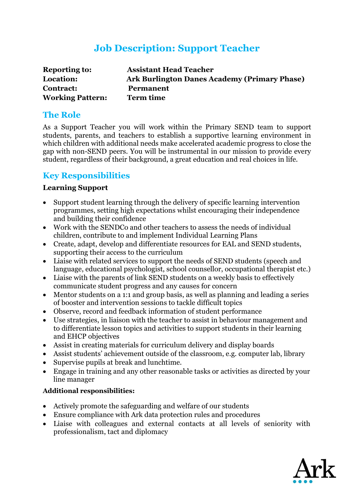## **Job Description: Support Teacher**

| <b>Reporting to:</b>    | <b>Assistant Head Teacher</b>                       |
|-------------------------|-----------------------------------------------------|
| Location:               | <b>Ark Burlington Danes Academy (Primary Phase)</b> |
| <b>Contract:</b>        | <b>Permanent</b>                                    |
| <b>Working Pattern:</b> | <b>Term time</b>                                    |

#### **The Role**

As a Support Teacher you will work within the Primary SEND team to support students, parents, and teachers to establish a supportive learning environment in which children with additional needs make accelerated academic progress to close the gap with non-SEND peers. You will be instrumental in our mission to provide every student, regardless of their background, a great education and real choices in life.

## **Key Responsibilities**

#### **Learning Support**

- Support student learning through the delivery of specific learning intervention programmes, setting high expectations whilst encouraging their independence and building their confidence
- Work with the SENDCo and other teachers to assess the needs of individual children, contribute to and implement Individual Learning Plans
- Create, adapt, develop and differentiate resources for EAL and SEND students, supporting their access to the curriculum
- Liaise with related services to support the needs of SEND students (speech and language, educational psychologist, school counsellor, occupational therapist etc.)
- Liaise with the parents of link SEND students on a weekly basis to effectively communicate student progress and any causes for concern
- Mentor students on a 1:1 and group basis, as well as planning and leading a series of booster and intervention sessions to tackle difficult topics
- Observe, record and feedback information of student performance
- Use strategies, in liaison with the teacher to assist in behaviour management and to differentiate lesson topics and activities to support students in their learning and EHCP objectives
- Assist in creating materials for curriculum delivery and display boards
- Assist students' achievement outside of the classroom, e.g. computer lab, library
- Supervise pupils at break and lunchtime.
- Engage in training and any other reasonable tasks or activities as directed by your line manager

#### **Additional responsibilities:**

- Actively promote the safeguarding and welfare of our students
- Ensure compliance with Ark data protection rules and procedures
- Liaise with colleagues and external contacts at all levels of seniority with professionalism, tact and diplomacy